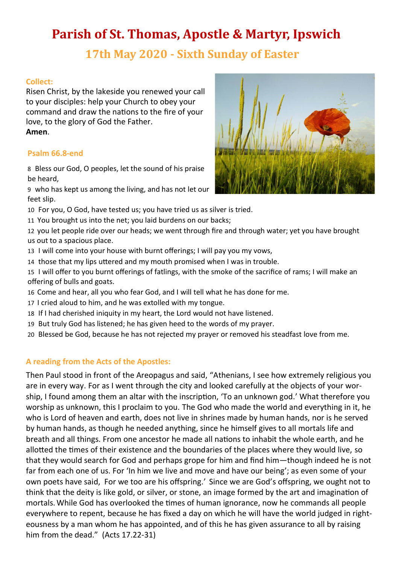# **Parish of St. Thomas, Apostle & Martyr, Ipswich**

# **17th May 2020 - Sixth Sunday of Easter**

### **Collect:**

Risen Christ, by the lakeside you renewed your call to your disciples: help your Church to obey your command and draw the nations to the fire of your love, to the glory of God the Father. **Amen**.

#### **Psalm 66.8-end**

8 Bless our God, O peoples, let the sound of his praise be heard,

9 who has kept us among the living, and has not let our feet slip.

- 10 For you, O God, have tested us; you have tried us as silver is tried.
- 11 You brought us into the net; you laid burdens on our backs;

12 you let people ride over our heads; we went through fire and through water; yet you have brought us out to a spacious place.

- 13 I will come into your house with burnt offerings; I will pay you my vows,
- 14 those that my lips uttered and my mouth promised when I was in trouble.
- 15 I will offer to you burnt offerings of fatlings, with the smoke of the sacrifice of rams; I will make an offering of bulls and goats.
- 16 Come and hear, all you who fear God, and I will tell what he has done for me.
- 17 I cried aloud to him, and he was extolled with my tongue.
- 18 If I had cherished iniquity in my heart, the Lord would not have listened.
- 19 But truly God has listened; he has given heed to the words of my prayer.
- 20 Blessed be God, because he has not rejected my prayer or removed his steadfast love from me.

### **A reading from the Acts of the Apostles:**

Then Paul stood in front of the Areopagus and said, "Athenians, I see how extremely religious you are in every way. For as I went through the city and looked carefully at the objects of your worship, I found among them an altar with the inscription, 'To an unknown god.' What therefore you worship as unknown, this I proclaim to you. The God who made the world and everything in it, he who is Lord of heaven and earth, does not live in shrines made by human hands, nor is he served by human hands, as though he needed anything, since he himself gives to all mortals life and breath and all things. From one ancestor he made all nations to inhabit the whole earth, and he allotted the times of their existence and the boundaries of the places where they would live, so that they would search for God and perhaps grope for him and find him—though indeed he is not far from each one of us. For 'In him we live and move and have our being'; as even some of your own poets have said, For we too are his offspring.' Since we are God's offspring, we ought not to think that the deity is like gold, or silver, or stone, an image formed by the art and imagination of mortals. While God has overlooked the times of human ignorance, now he commands all people everywhere to repent, because he has fixed a day on which he will have the world judged in righteousness by a man whom he has appointed, and of this he has given assurance to all by raising him from the dead." (Acts 17.22-31)

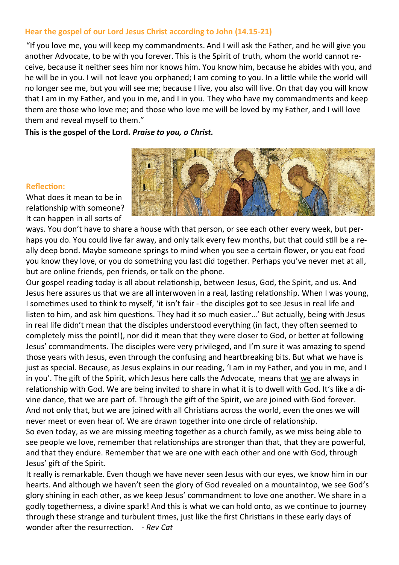#### **Hear the gospel of our Lord Jesus Christ according to John (14.15-21)**

"If you love me, you will keep my commandments. And I will ask the Father, and he will give you another Advocate, to be with you forever. This is the Spirit of truth, whom the world cannot receive, because it neither sees him nor knows him. You know him, because he abides with you, and he will be in you. I will not leave you orphaned; I am coming to you. In a little while the world will no longer see me, but you will see me; because I live, you also will live. On that day you will know that I am in my Father, and you in me, and I in you. They who have my commandments and keep them are those who love me; and those who love me will be loved by my Father, and I will love them and reveal myself to them."

**This is the gospel of the Lord.** *Praise to you, o Christ.*

#### **Reflection:**

What does it mean to be in relationship with someone? It can happen in all sorts of



ways. You don't have to share a house with that person, or see each other every week, but perhaps you do. You could live far away, and only talk every few months, but that could still be a really deep bond. Maybe someone springs to mind when you see a certain flower, or you eat food you know they love, or you do something you last did together. Perhaps you've never met at all, but are online friends, pen friends, or talk on the phone.

Our gospel reading today is all about relationship, between Jesus, God, the Spirit, and us. And Jesus here assures us that we are all interwoven in a real, lasting relationship. When I was young, I sometimes used to think to myself, 'it isn't fair - the disciples got to see Jesus in real life and listen to him, and ask him questions. They had it so much easier…' But actually, being with Jesus in real life didn't mean that the disciples understood everything (in fact, they often seemed to completely miss the point!), nor did it mean that they were closer to God, or better at following Jesus' commandments. The disciples were very privileged, and I'm sure it was amazing to spend those years with Jesus, even through the confusing and heartbreaking bits. But what we have is just as special. Because, as Jesus explains in our reading, 'I am in my Father, and you in me, and I in you'. The gift of the Spirit, which Jesus here calls the Advocate, means that we are always in relationship with God. We are being invited to share in what it is to dwell with God. It's like a divine dance, that we are part of. Through the gift of the Spirit, we are joined with God forever. And not only that, but we are joined with all Christians across the world, even the ones we will never meet or even hear of. We are drawn together into one circle of relationship.

So even today, as we are missing meeting together as a church family, as we miss being able to see people we love, remember that relationships are stronger than that, that they are powerful, and that they endure. Remember that we are one with each other and one with God, through Jesus' gift of the Spirit.

It really is remarkable. Even though we have never seen Jesus with our eyes, we know him in our hearts. And although we haven't seen the glory of God revealed on a mountaintop, we see God's glory shining in each other, as we keep Jesus' commandment to love one another. We share in a godly togetherness, a divine spark! And this is what we can hold onto, as we continue to journey through these strange and turbulent times, just like the first Christians in these early days of wonder after the resurrection. - *Rev Cat*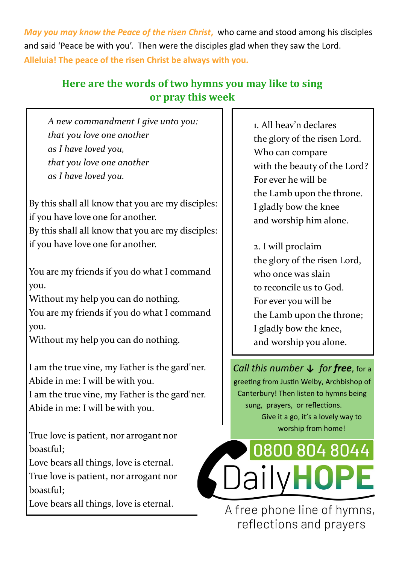*May you may know the Peace of the risen Christ***,** who came and stood among his disciples and said 'Peace be with you'. Then were the disciples glad when they saw the Lord. **Alleluia! The peace of the risen Christ be always with you.** 

## **Here are the words of two hymns you may like to sing or pray this week**

*A new commandment I give unto you: that you love one another as I have loved you, that you love one another as I have loved you.*

By this shall all know that you are my disciples: if you have love one for another.

By this shall all know that you are my disciples: if you have love one for another.

You are my friends if you do what I command you.

Without my help you can do nothing. You are my friends if you do what I command you.

Without my help you can do nothing.

I am the true vine, my Father is the gard'ner. Abide in me: I will be with you.

I am the true vine, my Father is the gard'ner. Abide in me: I will be with you.

True love is patient, nor arrogant nor boastful;

Love bears all things, love is eternal. True love is patient, nor arrogant nor boastful;

Love bears all things, love is eternal.

1. All heav'n declares the glory of the risen Lord. Who can compare with the beauty of the Lord? For ever he will be the Lamb upon the throne. I gladly bow the knee and worship him alone.

2. I will proclaim the glory of the risen Lord, who once was slain to reconcile us to God. For ever you will be the Lamb upon the throne; I gladly bow the knee, and worship you alone.

*Call this number ↓ for free*, for a greeting from Justin Welby, Archbishop of Canterbury! Then listen to hymns being sung, prayers, or reflections. Give it a go, it's a lovely way to worship from home!



A free phone line of hymns, reflections and prayers